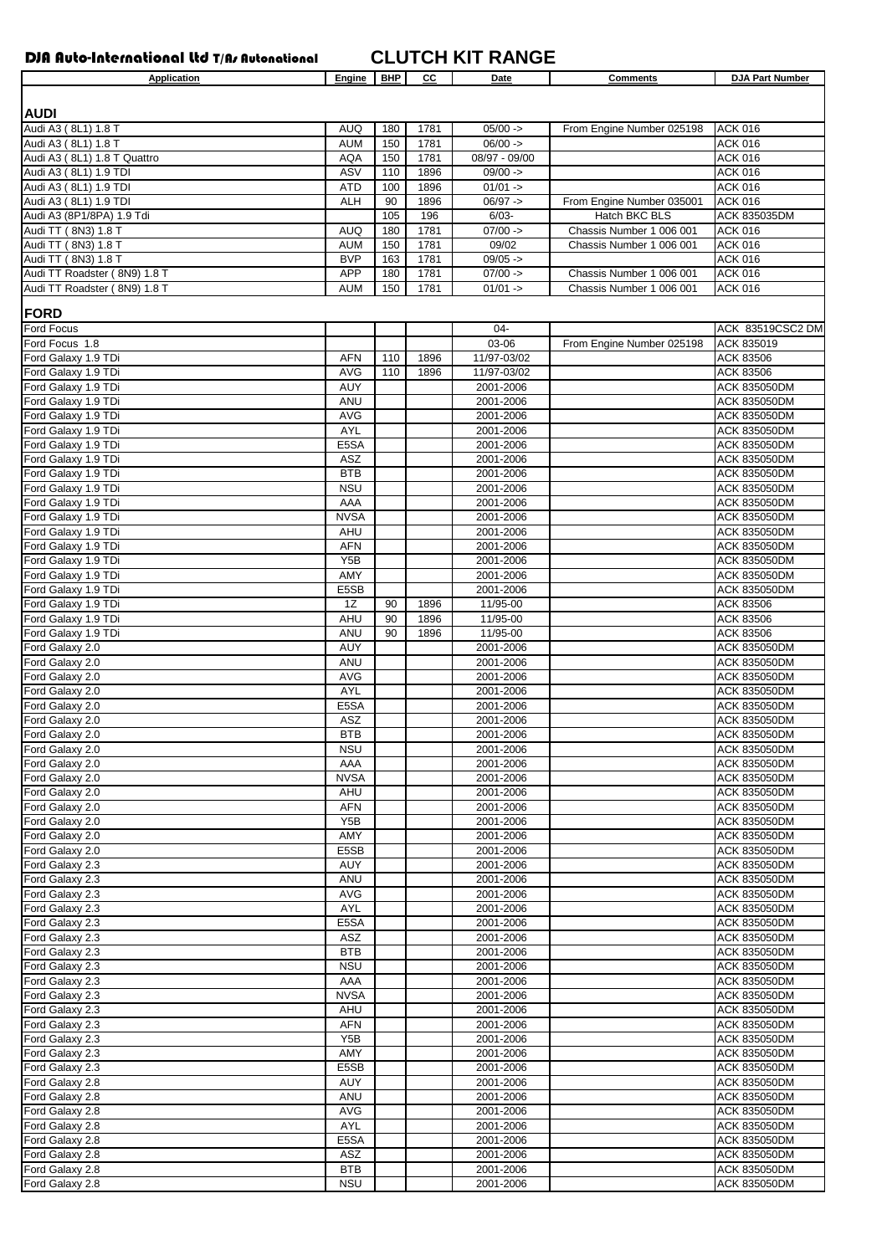DJA Auto-International Ltd T/As Autonational **CLUTCH KIT RANGE**

| Application                  | Engine            | <b>BHP</b> | cс   | Date          | <b>Comments</b>           | <b>DJA Part Number</b> |
|------------------------------|-------------------|------------|------|---------------|---------------------------|------------------------|
|                              |                   |            |      |               |                           |                        |
| <b>AUDI</b>                  |                   |            |      |               |                           |                        |
| Audi A3 (8L1) 1.8 T          | <b>AUQ</b>        | 180        | 1781 | $05/00 -$     | From Engine Number 025198 | <b>ACK 016</b>         |
| Audi A3 (8L1) 1.8 T          | <b>AUM</b>        | 150        | 1781 | $06/00 -$     |                           | <b>ACK 016</b>         |
|                              |                   | 150        | 1781 | 08/97 - 09/00 |                           |                        |
| Audi A3 (8L1) 1.8 T Quattro  | <b>AQA</b>        |            |      |               |                           | ACK 016                |
| Audi A3 (8L1) 1.9 TDI        | ASV               | 110        | 1896 | $09/00 -$     |                           | <b>ACK 016</b>         |
| Audi A3 (8L1) 1.9 TDI        | <b>ATD</b>        | 100        | 1896 | $01/01 -$     |                           | ACK 016                |
| Audi A3 (8L1) 1.9 TDI        | <b>ALH</b>        | 90         | 1896 | $06/97 -$     | From Engine Number 035001 | <b>ACK 016</b>         |
| Audi A3 (8P1/8PA) 1.9 Tdi    |                   | 105        | 196  | $6/03 -$      | Hatch BKC BLS             | ACK 835035DM           |
| Audi TT (8N3) 1.8 T          | <b>AUQ</b>        | 180        | 1781 | $07/00 -$     | Chassis Number 1 006 001  | <b>ACK 016</b>         |
| Audi TT (8N3) 1.8 T          | <b>AUM</b>        | 150        | 1781 | 09/02         | Chassis Number 1 006 001  | <b>ACK 016</b>         |
| Audi TT (8N3) 1.8 T          | <b>BVP</b>        | 163        | 1781 | $09/05 -$     |                           | <b>ACK 016</b>         |
| Audi TT Roadster (8N9) 1.8 T | <b>APP</b>        | 180        | 1781 | $07/00 -$     | Chassis Number 1 006 001  | <b>ACK 016</b>         |
| Audi TT Roadster (8N9) 1.8 T | <b>AUM</b>        | 150        | 1781 | $01/01 -$     | Chassis Number 1 006 001  | <b>ACK 016</b>         |
|                              |                   |            |      |               |                           |                        |
| <b>FORD</b>                  |                   |            |      |               |                           |                        |
| Ford Focus                   |                   |            |      | 04-           |                           | ACK 83519CSC2 DM       |
| Ford Focus 1.8               |                   |            |      | 03-06         |                           |                        |
|                              |                   |            |      |               | From Engine Number 025198 | ACK 835019             |
| Ford Galaxy 1.9 TDi          | <b>AFN</b>        | 110        | 1896 | 11/97-03/02   |                           | ACK 83506              |
| Ford Galaxy 1.9 TDi          | <b>AVG</b>        | 110        | 1896 | 11/97-03/02   |                           | ACK 83506              |
| Ford Galaxy 1.9 TDi          | AUY               |            |      | 2001-2006     |                           | ACK 835050DM           |
| Ford Galaxy 1.9 TDi          | ANU               |            |      | 2001-2006     |                           | ACK 835050DM           |
| Ford Galaxy 1.9 TDi          | <b>AVG</b>        |            |      | 2001-2006     |                           | ACK 835050DM           |
| Ford Galaxy 1.9 TDi          | <b>AYL</b>        |            |      | 2001-2006     |                           | ACK 835050DM           |
| Ford Galaxy 1.9 TDi          | E5SA              |            |      | 2001-2006     |                           | ACK 835050DM           |
| Ford Galaxy 1.9 TDi          | ASZ               |            |      | 2001-2006     |                           | ACK 835050DM           |
| Ford Galaxy 1.9 TDi          | <b>BTB</b>        |            |      | 2001-2006     |                           | ACK 835050DM           |
| Ford Galaxy 1.9 TDi          | <b>NSU</b>        |            |      | 2001-2006     |                           | <b>ACK 835050DM</b>    |
|                              |                   |            |      |               |                           |                        |
| Ford Galaxy 1.9 TDi          | AAA               |            |      | 2001-2006     |                           | ACK 835050DM           |
| Ford Galaxy 1.9 TDi          | <b>NVSA</b>       |            |      | 2001-2006     |                           | ACK 835050DM           |
| Ford Galaxy 1.9 TDi          | AHU               |            |      | 2001-2006     |                           | <b>ACK 835050DM</b>    |
| Ford Galaxy 1.9 TDi          | <b>AFN</b>        |            |      | 2001-2006     |                           | ACK 835050DM           |
| Ford Galaxy 1.9 TDi          | Y5B               |            |      | 2001-2006     |                           | ACK 835050DM           |
| Ford Galaxy 1.9 TDi          | AMY               |            |      | 2001-2006     |                           | ACK 835050DM           |
| Ford Galaxy 1.9 TDi          | E <sub>5</sub> SB |            |      | 2001-2006     |                           | ACK 835050DM           |
| Ford Galaxy 1.9 TDi          | 1Z                | 90         | 1896 | 11/95-00      |                           | ACK 83506              |
| Ford Galaxy 1.9 TDi          | AHU               | 90         | 1896 | 11/95-00      |                           | ACK 83506              |
|                              | <b>ANU</b>        | 90         | 1896 | 11/95-00      |                           |                        |
| Ford Galaxy 1.9 TDi          |                   |            |      |               |                           | ACK 83506              |
| Ford Galaxy 2.0              | <b>AUY</b>        |            |      | 2001-2006     |                           | ACK 835050DM           |
| Ford Galaxy 2.0              | ANU               |            |      | 2001-2006     |                           | ACK 835050DM           |
| Ford Galaxy 2.0              | <b>AVG</b>        |            |      | 2001-2006     |                           | ACK 835050DM           |
| Ford Galaxy 2.0              | <b>AYL</b>        |            |      | 2001-2006     |                           | ACK 835050DM           |
| Ford Galaxy 2.0              | E5SA              |            |      | 2001-2006     |                           | ACK 835050DM           |
| Ford Galaxy 2.0              | ASZ               |            |      | 2001-2006     |                           | ACK 835050DM           |
| Ford Galaxy 2.0              | BTB               |            |      | 2001-2006     |                           | ACK 835050DM           |
| Ford Galaxy 2.0              | <b>NSU</b>        |            |      | 2001-2006     |                           | ACK 835050DM           |
| Ford Galaxy 2.0              | AAA               |            |      | 2001-2006     |                           | ACK 835050DM           |
| Ford Galaxy 2.0              | <b>NVSA</b>       |            |      | 2001-2006     |                           | ACK 835050DM           |
|                              |                   |            |      |               |                           |                        |
| Ford Galaxy 2.0              | AHU               |            |      | 2001-2006     |                           | <b>ACK 835050DM</b>    |
| Ford Galaxy 2.0              | AFN               |            |      | 2001-2006     |                           | ACK 835050DM           |
| Ford Galaxy 2.0              | Y <sub>5</sub> B  |            |      | 2001-2006     |                           | ACK 835050DM           |
| Ford Galaxy 2.0              | AMY               |            |      | 2001-2006     |                           | ACK 835050DM           |
| Ford Galaxy 2.0              | E5SB              |            |      | 2001-2006     |                           | ACK 835050DM           |
| Ford Galaxy 2.3              | <b>AUY</b>        |            |      | 2001-2006     |                           | ACK 835050DM           |
| Ford Galaxy 2.3              | ANU               |            |      | 2001-2006     |                           | ACK 835050DM           |
| Ford Galaxy 2.3              | AVG               |            |      | 2001-2006     |                           | ACK 835050DM           |
| Ford Galaxy 2.3              | AYL               |            |      | 2001-2006     |                           | ACK 835050DM           |
| Ford Galaxy 2.3              | E5SA              |            |      | 2001-2006     |                           | ACK 835050DM           |
|                              |                   |            |      |               |                           |                        |
| Ford Galaxy 2.3              | ASZ               |            |      | 2001-2006     |                           | ACK 835050DM           |
| Ford Galaxy 2.3              | BTB               |            |      | 2001-2006     |                           | ACK 835050DM           |
| Ford Galaxy 2.3              | <b>NSU</b>        |            |      | 2001-2006     |                           | ACK 835050DM           |
| Ford Galaxy 2.3              | AAA               |            |      | 2001-2006     |                           | ACK 835050DM           |
| Ford Galaxy 2.3              | <b>NVSA</b>       |            |      | 2001-2006     |                           | ACK 835050DM           |
| Ford Galaxy 2.3              | AHU               |            |      | 2001-2006     |                           | ACK 835050DM           |
| Ford Galaxy 2.3              | <b>AFN</b>        |            |      | 2001-2006     |                           | ACK 835050DM           |
| Ford Galaxy 2.3              | Y5B               |            |      | 2001-2006     |                           | ACK 835050DM           |
| Ford Galaxy 2.3              | AMY               |            |      | 2001-2006     |                           | ACK 835050DM           |
|                              |                   |            |      |               |                           |                        |
| Ford Galaxy 2.3              | E5SB              |            |      | 2001-2006     |                           | ACK 835050DM           |
| Ford Galaxy 2.8              | <b>AUY</b>        |            |      | 2001-2006     |                           | ACK 835050DM           |
| Ford Galaxy 2.8              | ANU               |            |      | 2001-2006     |                           | ACK 835050DM           |
| Ford Galaxy 2.8              | AVG               |            |      | 2001-2006     |                           | ACK 835050DM           |
| Ford Galaxy 2.8              | AYL               |            |      | 2001-2006     |                           | ACK 835050DM           |
| Ford Galaxy 2.8              | E5SA              |            |      | 2001-2006     |                           | ACK 835050DM           |
| Ford Galaxy 2.8              | ASZ               |            |      | 2001-2006     |                           | ACK 835050DM           |
| Ford Galaxy 2.8              | <b>BTB</b>        |            |      | 2001-2006     |                           | ACK 835050DM           |
| Ford Galaxy 2.8              | <b>NSU</b>        |            |      | 2001-2006     |                           | ACK 835050DM           |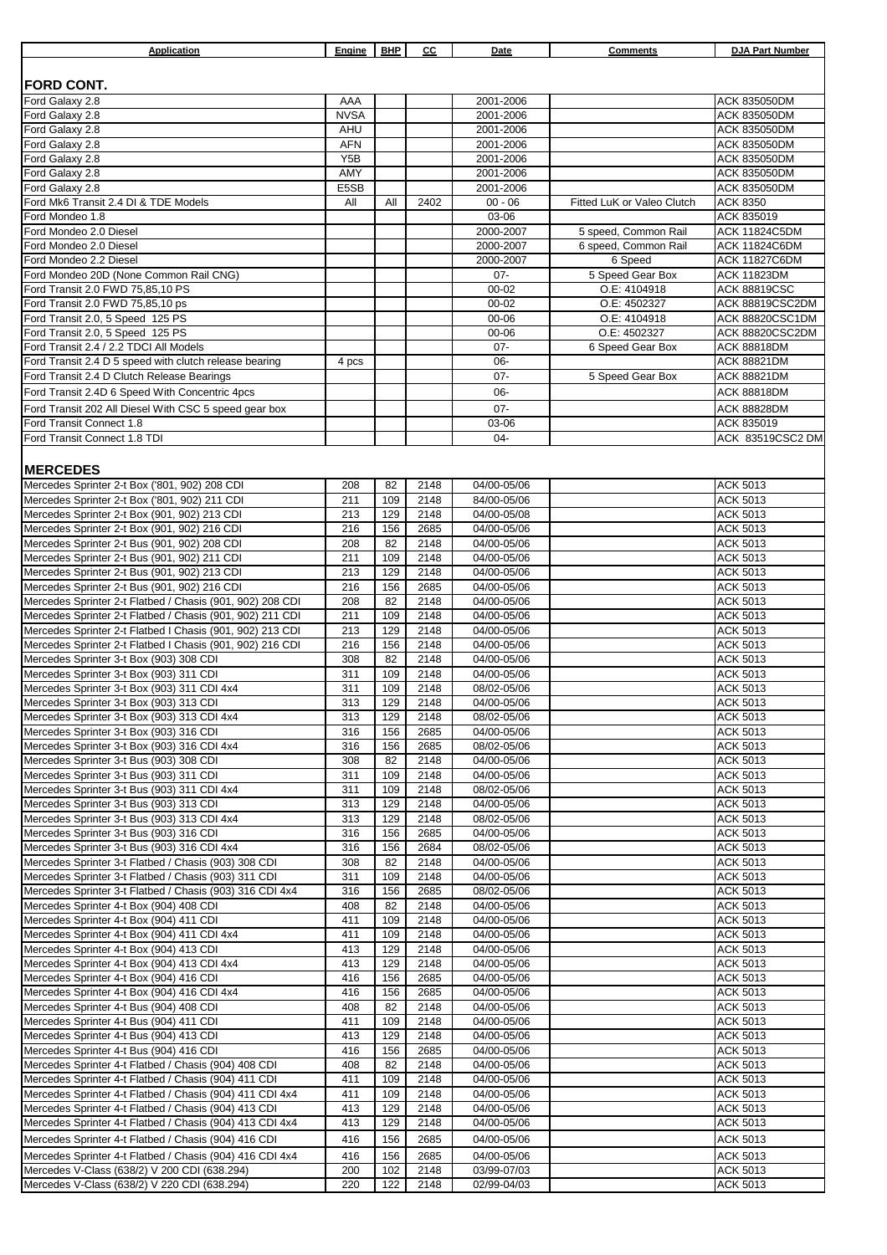| Application                                                                                                      | Engine                  | <b>BHP</b> | cс           | Date                       | <b>Comments</b>              | <b>DJA Part Number</b>             |
|------------------------------------------------------------------------------------------------------------------|-------------------------|------------|--------------|----------------------------|------------------------------|------------------------------------|
|                                                                                                                  |                         |            |              |                            |                              |                                    |
| <b>FORD CONT.</b>                                                                                                |                         |            |              |                            |                              |                                    |
| Ford Galaxy 2.8                                                                                                  | AAA                     |            |              | 2001-2006                  |                              | ACK 835050DM                       |
| Ford Galaxy 2.8                                                                                                  | <b>NVSA</b>             |            |              | 2001-2006                  |                              | ACK 835050DM                       |
| Ford Galaxy 2.8                                                                                                  | <b>AHU</b>              |            |              | 2001-2006                  |                              | ACK 835050DM                       |
| Ford Galaxy 2.8                                                                                                  | <b>AFN</b>              |            |              | 2001-2006                  |                              | ACK 835050DM                       |
| Ford Galaxy 2.8<br>Ford Galaxy 2.8                                                                               | Y <sub>5</sub> B<br>AMY |            |              | 2001-2006<br>2001-2006     |                              | ACK 835050DM<br>ACK 835050DM       |
| Ford Galaxy 2.8                                                                                                  | E5SB                    |            |              | 2001-2006                  |                              | ACK 835050DM                       |
| Ford Mk6 Transit 2.4 DI & TDE Models                                                                             | All                     | All        | 2402         | $00 - 06$                  | Fitted LuK or Valeo Clutch   | ACK 8350                           |
| Ford Mondeo 1.8                                                                                                  |                         |            |              | 03-06                      |                              | ACK 835019                         |
| Ford Mondeo 2.0 Diesel                                                                                           |                         |            |              | 2000-2007                  | 5 speed, Common Rail         | <b>ACK 11824C5DM</b>               |
| Ford Mondeo 2.0 Diesel                                                                                           |                         |            |              | 2000-2007                  | 6 speed, Common Rail         | <b>ACK 11824C6DM</b>               |
| Ford Mondeo 2.2 Diesel                                                                                           |                         |            |              | 2000-2007                  | 6 Speed                      | <b>ACK 11827C6DM</b>               |
| Ford Mondeo 20D (None Common Rail CNG)                                                                           |                         |            |              | $07 -$                     | 5 Speed Gear Box             | <b>ACK 11823DM</b>                 |
| Ford Transit 2.0 FWD 75,85,10 PS                                                                                 |                         |            |              | $00 - 02$                  | O.E: 4104918                 | <b>ACK 88819CSC</b>                |
| Ford Transit 2.0 FWD 75,85,10 ps<br>Ford Transit 2.0, 5 Speed 125 PS                                             |                         |            |              | $00 - 02$<br>00-06         | O.E: 4502327<br>O.E: 4104918 | ACK 88819CSC2DM<br>ACK 88820CSC1DM |
| Ford Transit 2.0, 5 Speed 125 PS                                                                                 |                         |            |              | 00-06                      | O.E: 4502327                 | ACK 88820CSC2DM                    |
| Ford Transit 2.4 / 2.2 TDCI All Models                                                                           |                         |            |              | $07 -$                     | 6 Speed Gear Box             | <b>ACK 88818DM</b>                 |
| Ford Transit 2.4 D 5 speed with clutch release bearing                                                           | 4 pcs                   |            |              | 06-                        |                              | <b>ACK 88821DM</b>                 |
| Ford Transit 2.4 D Clutch Release Bearings                                                                       |                         |            |              | $07 -$                     | 5 Speed Gear Box             | <b>ACK 88821DM</b>                 |
| Ford Transit 2.4D 6 Speed With Concentric 4pcs                                                                   |                         |            |              | 06-                        |                              | ACK 88818DM                        |
| Ford Transit 202 All Diesel With CSC 5 speed gear box                                                            |                         |            |              | $07 -$                     |                              | <b>ACK 88828DM</b>                 |
| Ford Transit Connect 1.8                                                                                         |                         |            |              | 03-06                      |                              | ACK 835019                         |
| Ford Transit Connect 1.8 TDI                                                                                     |                         |            |              | $04 -$                     |                              | ACK 83519CSC2 DM                   |
|                                                                                                                  |                         |            |              |                            |                              |                                    |
| <b>MERCEDES</b>                                                                                                  |                         |            |              |                            |                              |                                    |
| Mercedes Sprinter 2-t Box ('801, 902) 208 CDI                                                                    | 208                     | 82         | 2148         | 04/00-05/06                |                              | ACK 5013                           |
| Mercedes Sprinter 2-t Box ('801, 902) 211 CDI                                                                    | 211                     | 109        | 2148         | 84/00-05/06                |                              | ACK 5013                           |
| Mercedes Sprinter 2-t Box (901, 902) 213 CDI                                                                     | 213                     | 129        | 2148         | 04/00-05/08                |                              | ACK 5013                           |
| Mercedes Sprinter 2-t Box (901, 902) 216 CDI                                                                     | 216                     | 156<br>82  | 2685         | 04/00-05/06                |                              | <b>ACK 5013</b>                    |
| Mercedes Sprinter 2-t Bus (901, 902) 208 CDI<br>Mercedes Sprinter 2-t Bus (901, 902) 211 CDI                     | 208<br>211              | 109        | 2148<br>2148 | 04/00-05/06<br>04/00-05/06 |                              | ACK 5013<br>ACK 5013               |
| Mercedes Sprinter 2-t Bus (901, 902) 213 CDI                                                                     | 213                     | 129        | 2148         | 04/00-05/06                |                              | ACK 5013                           |
| Mercedes Sprinter 2-t Bus (901, 902) 216 CDI                                                                     | 216                     | 156        | 2685         | 04/00-05/06                |                              | ACK 5013                           |
| Mercedes Sprinter 2-t Flatbed / Chasis (901, 902) 208 CDI                                                        | 208                     | 82         | 2148         | 04/00-05/06                |                              | <b>ACK 5013</b>                    |
| Mercedes Sprinter 2-t Flatbed / Chasis (901, 902) 211 CDI                                                        | 211                     | 109        | 2148         | 04/00-05/06                |                              | ACK 5013                           |
| Mercedes Sprinter 2-t Flatbed I Chasis (901, 902) 213 CDI                                                        | 213                     | 129        | 2148         | 04/00-05/06                |                              | ACK 5013                           |
| Mercedes Sprinter 2-t Flatbed I Chasis (901, 902) 216 CDI                                                        | 216                     | 156        | 2148         | 04/00-05/06                |                              | ACK 5013                           |
| Mercedes Sprinter 3-t Box (903) 308 CDI                                                                          | 308                     | 82         | 2148         | 04/00-05/06                |                              | ACK 5013                           |
| Mercedes Sprinter 3-t Box (903) 311 CDI                                                                          | 311                     | 109        | 2148         | 04/00-05/06                |                              | ACK 5013                           |
| Mercedes Sprinter 3-t Box (903) 311 CDI 4x4<br>Mercedes Sprinter 3-t Box (903) 313 CDI                           | 311<br>313              | 109<br>129 | 2148<br>2148 | 08/02-05/06<br>04/00-05/06 |                              | ACK 5013<br>ACK 5013               |
| Mercedes Sprinter 3-t Box (903) 313 CDI 4x4                                                                      | 313                     | 129        | 2148         | 08/02-05/06                |                              | <b>ACK 5013</b>                    |
| Mercedes Sprinter 3-t Box (903) 316 CDI                                                                          | 316                     | 156        | 2685         | 04/00-05/06                |                              | ACK 5013                           |
| Mercedes Sprinter 3-t Box (903) 316 CDI 4x4                                                                      | 316                     | 156        | 2685         | 08/02-05/06                |                              | ACK 5013                           |
| Mercedes Sprinter 3-t Bus (903) 308 CDI                                                                          | 308                     | 82         | 2148         | 04/00-05/06                |                              | <b>ACK 5013</b>                    |
| Mercedes Sprinter 3-t Bus (903) 311 CDI                                                                          | 311                     | 109        | 2148         | 04/00-05/06                |                              | ACK 5013                           |
| Mercedes Sprinter 3-t Bus (903) 311 CDI 4x4                                                                      | 311                     | 109        | 2148         | 08/02-05/06                |                              | ACK 5013                           |
| Mercedes Sprinter 3-t Bus (903) 313 CDI                                                                          | 313                     | 129        | 2148         | 04/00-05/06                |                              | ACK 5013                           |
| Mercedes Sprinter 3-t Bus (903) 313 CDI 4x4<br>Mercedes Sprinter 3-t Bus (903) 316 CDI                           | 313<br>316              | 129<br>156 | 2148<br>2685 | 08/02-05/06<br>04/00-05/06 |                              | ACK 5013<br>ACK 5013               |
| Mercedes Sprinter 3-t Bus (903) 316 CDI 4x4                                                                      | 316                     | 156        | 2684         | 08/02-05/06                |                              | ACK 5013                           |
| Mercedes Sprinter 3-t Flatbed / Chasis (903) 308 CDI                                                             | 308                     | 82         | 2148         | 04/00-05/06                |                              | ACK 5013                           |
| Mercedes Sprinter 3-t Flatbed / Chasis (903) 311 CDI                                                             | 311                     | 109        | 2148         | 04/00-05/06                |                              | ACK 5013                           |
| Mercedes Sprinter 3-t Flatbed / Chasis (903) 316 CDI 4x4                                                         | 316                     | 156        | 2685         | 08/02-05/06                |                              | ACK 5013                           |
| Mercedes Sprinter 4-t Box (904) 408 CDI                                                                          | 408                     | 82         | 2148         | 04/00-05/06                |                              | ACK 5013                           |
| Mercedes Sprinter 4-t Box (904) 411 CDI                                                                          | 411                     | 109        | 2148         | 04/00-05/06                |                              | ACK 5013                           |
| Mercedes Sprinter 4-t Box (904) 411 CDI 4x4                                                                      | 411                     | 109        | 2148         | 04/00-05/06                |                              | ACK 5013                           |
| Mercedes Sprinter 4-t Box (904) 413 CDI                                                                          | 413                     | 129<br>129 | 2148<br>2148 | 04/00-05/06                |                              | ACK 5013                           |
| Mercedes Sprinter 4-t Box (904) 413 CDI 4x4<br>Mercedes Sprinter 4-t Box (904) 416 CDI                           | 413<br>416              | 156        | 2685         | 04/00-05/06<br>04/00-05/06 |                              | ACK 5013<br>ACK 5013               |
| Mercedes Sprinter 4-t Box (904) 416 CDI 4x4                                                                      | 416                     | 156        | 2685         | 04/00-05/06                |                              | ACK 5013                           |
| Mercedes Sprinter 4-t Bus (904) 408 CDI                                                                          | 408                     | 82         | 2148         | 04/00-05/06                |                              | ACK 5013                           |
| Mercedes Sprinter 4-t Bus (904) 411 CDI                                                                          | 411                     | 109        | 2148         | 04/00-05/06                |                              | ACK 5013                           |
| Mercedes Sprinter 4-t Bus (904) 413 CDI                                                                          | 413                     | 129        | 2148         | 04/00-05/06                |                              | ACK 5013                           |
| Mercedes Sprinter 4-t Bus (904) 416 CDI                                                                          | 416                     | 156        | 2685         | 04/00-05/06                |                              | ACK 5013                           |
| Mercedes Sprinter 4-t Flatbed / Chasis (904) 408 CDI                                                             | 408                     | 82         | 2148         | 04/00-05/06                |                              | ACK 5013                           |
| Mercedes Sprinter 4-t Flatbed / Chasis (904) 411 CDI                                                             | 411                     | 109        | 2148         | 04/00-05/06                |                              | ACK 5013                           |
| Mercedes Sprinter 4-t Flatbed / Chasis (904) 411 CDI 4x4                                                         | 411                     | 109        | 2148         | 04/00-05/06                |                              | ACK 5013                           |
| Mercedes Sprinter 4-t Flatbed / Chasis (904) 413 CDI                                                             | 413<br>413              | 129<br>129 | 2148<br>2148 | 04/00-05/06<br>04/00-05/06 |                              | ACK 5013                           |
| Mercedes Sprinter 4-t Flatbed / Chasis (904) 413 CDI 4x4<br>Mercedes Sprinter 4-t Flatbed / Chasis (904) 416 CDI | 416                     | 156        | 2685         | 04/00-05/06                |                              | ACK 5013<br>ACK 5013               |
| Mercedes Sprinter 4-t Flatbed / Chasis (904) 416 CDI 4x4                                                         | 416                     | 156        | 2685         | 04/00-05/06                |                              | ACK 5013                           |
| Mercedes V-Class (638/2) V 200 CDI (638.294)                                                                     | 200                     | 102        | 2148         | 03/99-07/03                |                              | ACK 5013                           |
| Mercedes V-Class (638/2) V 220 CDI (638.294)                                                                     | 220                     | 122        | 2148         | 02/99-04/03                |                              | <b>ACK 5013</b>                    |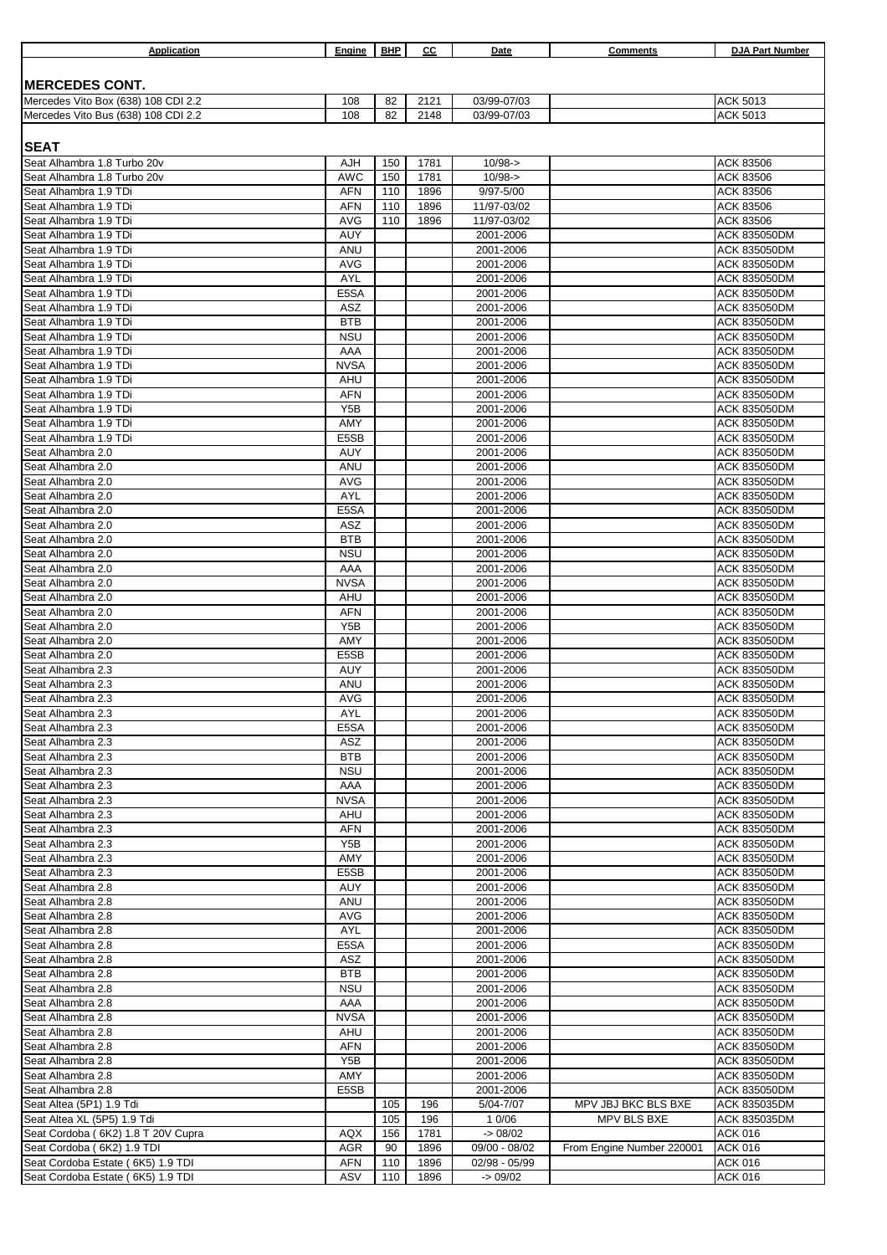| Application                                                | Engine             | <b>BHP</b> | cс           | Date                       | Comments                  | <b>DJA Part Number</b>                     |
|------------------------------------------------------------|--------------------|------------|--------------|----------------------------|---------------------------|--------------------------------------------|
|                                                            |                    |            |              |                            |                           |                                            |
| <b>MERCEDES CONT.</b>                                      |                    |            |              |                            |                           |                                            |
| Mercedes Vito Box (638) 108 CDI 2.2                        | 108                | 82         | 2121         | 03/99-07/03                |                           | <b>ACK 5013</b>                            |
| Mercedes Vito Bus (638) 108 CDI 2.2                        | 108                | 82         | 2148         | 03/99-07/03                |                           | <b>ACK 5013</b>                            |
|                                                            |                    |            |              |                            |                           |                                            |
| <b>SEAT</b>                                                |                    |            |              |                            |                           |                                            |
| Seat Alhambra 1.8 Turbo 20v<br>Seat Alhambra 1.8 Turbo 20v | AJH<br><b>AWC</b>  | 150<br>150 | 1781<br>1781 | $10/98 - >$<br>$10/98 - >$ |                           | <b>ACK 83506</b><br><b>ACK 83506</b>       |
| Seat Alhambra 1.9 TDi                                      | <b>AFN</b>         | 110        | 1896         | 9/97-5/00                  |                           | <b>ACK 83506</b>                           |
| Seat Alhambra 1.9 TDi                                      | <b>AFN</b>         | 110        | 1896         | 11/97-03/02                |                           | <b>ACK 83506</b>                           |
| Seat Alhambra 1.9 TDi                                      | <b>AVG</b>         | 110        | 1896         | 11/97-03/02                |                           | ACK 83506                                  |
| Seat Alhambra 1.9 TDi                                      | AUY                |            |              | 2001-2006                  |                           | <b>ACK 835050DM</b>                        |
| Seat Alhambra 1.9 TDi                                      | ANU                |            |              | 2001-2006                  |                           | <b>ACK 835050DM</b>                        |
| Seat Alhambra 1.9 TDi                                      | <b>AVG</b>         |            |              | 2001-2006                  |                           | <b>ACK 835050DM</b>                        |
| Seat Alhambra 1.9 TDi<br>Seat Alhambra 1.9 TDi             | <b>AYL</b><br>E5SA |            |              | 2001-2006<br>2001-2006     |                           | <b>ACK 835050DM</b>                        |
| Seat Alhambra 1.9 TDi                                      | ASZ                |            |              | 2001-2006                  |                           | <b>ACK 835050DM</b><br><b>ACK 835050DM</b> |
| Seat Alhambra 1.9 TDi                                      | <b>BTB</b>         |            |              | 2001-2006                  |                           | <b>ACK 835050DM</b>                        |
| Seat Alhambra 1.9 TDi                                      | <b>NSU</b>         |            |              | 2001-2006                  |                           | <b>ACK 835050DM</b>                        |
| Seat Alhambra 1.9 TDi                                      | AAA                |            |              | 2001-2006                  |                           | <b>ACK 835050DM</b>                        |
| Seat Alhambra 1.9 TDi                                      | <b>NVSA</b>        |            |              | 2001-2006                  |                           | <b>ACK 835050DM</b>                        |
| Seat Alhambra 1.9 TDi                                      | AHU                |            |              | 2001-2006                  |                           | <b>ACK 835050DM</b>                        |
| Seat Alhambra 1.9 TDi                                      | <b>AFN</b>         |            |              | 2001-2006                  |                           | <b>ACK 835050DM</b>                        |
| Seat Alhambra 1.9 TDi                                      | Y5B                |            |              | 2001-2006                  |                           | <b>ACK 835050DM</b><br>ACK 835050DM        |
| Seat Alhambra 1.9 TDi<br>Seat Alhambra 1.9 TDi             | AMY<br>E5SB        |            |              | 2001-2006<br>2001-2006     |                           | <b>ACK 835050DM</b>                        |
| Seat Alhambra 2.0                                          | AUY                |            |              | 2001-2006                  |                           | <b>ACK 835050DM</b>                        |
| Seat Alhambra 2.0                                          | ANU                |            |              | 2001-2006                  |                           | <b>ACK 835050DM</b>                        |
| Seat Alhambra 2.0                                          | <b>AVG</b>         |            |              | 2001-2006                  |                           | <b>ACK 835050DM</b>                        |
| Seat Alhambra 2.0                                          | AYL                |            |              | 2001-2006                  |                           | <b>ACK 835050DM</b>                        |
| Seat Alhambra 2.0                                          | E <sub>5</sub> SA  |            |              | 2001-2006                  |                           | <b>ACK 835050DM</b>                        |
| Seat Alhambra 2.0                                          | ASZ                |            |              | 2001-2006                  |                           | <b>ACK 835050DM</b>                        |
| Seat Alhambra 2.0                                          | <b>BTB</b>         |            |              | 2001-2006                  |                           | <b>ACK 835050DM</b>                        |
| Seat Alhambra 2.0                                          | <b>NSU</b>         |            |              | 2001-2006                  |                           | <b>ACK 835050DM</b>                        |
| Seat Alhambra 2.0<br>Seat Alhambra 2.0                     | AAA<br><b>NVSA</b> |            |              | 2001-2006<br>2001-2006     |                           | <b>ACK 835050DM</b><br><b>ACK 835050DM</b> |
| Seat Alhambra 2.0                                          | AHU                |            |              | 2001-2006                  |                           | <b>ACK 835050DM</b>                        |
| Seat Alhambra 2.0                                          | <b>AFN</b>         |            |              | 2001-2006                  |                           | <b>ACK 835050DM</b>                        |
| Seat Alhambra 2.0                                          | Y <sub>5</sub> B   |            |              | 2001-2006                  |                           | <b>ACK 835050DM</b>                        |
| Seat Alhambra 2.0                                          | AMY                |            |              | 2001-2006                  |                           | <b>ACK 835050DM</b>                        |
| Seat Alhambra 2.0                                          | E5SB               |            |              | 2001-2006                  |                           | <b>ACK 835050DM</b>                        |
| Seat Alhambra 2.3                                          | AUY                |            |              | 2001-2006                  |                           | <b>ACK 835050DM</b>                        |
| Seat Alhambra 2.3                                          | ANU                |            |              | 2001-2006                  |                           | <b>ACK 835050DM</b>                        |
| Seat Alhambra 2.3<br>Seat Alhambra 2.3                     | <b>AVG</b><br>AYL  |            |              | 2001-2006<br>2001-2006     |                           | <b>ACK 835050DM</b><br>ACK 835050DM        |
| Seat Alhambra 2.3                                          | E5SA               |            |              | 2001-2006                  |                           | ACK 835050DM                               |
| Seat Alhambra 2.3                                          | ASZ                |            |              | 2001-2006                  |                           | <b>ACK 835050DM</b>                        |
| Seat Alhambra 2.3                                          | <b>BTB</b>         |            |              | 2001-2006                  |                           | <b>ACK 835050DM</b>                        |
| Seat Alhambra 2.3                                          | <b>NSU</b>         |            |              | 2001-2006                  |                           | ACK 835050DM                               |
| Seat Alhambra 2.3                                          | AAA                |            |              | 2001-2006                  |                           | ACK 835050DM                               |
| Seat Alhambra 2.3                                          | <b>NVSA</b>        |            |              | 2001-2006                  |                           | ACK 835050DM                               |
| Seat Alhambra 2.3                                          | AHU                |            |              | 2001-2006                  |                           | ACK 835050DM                               |
| Seat Alhambra 2.3<br>Seat Alhambra 2.3                     | AFN<br>Y5B         |            |              | 2001-2006<br>2001-2006     |                           | ACK 835050DM<br><b>ACK 835050DM</b>        |
| Seat Alhambra 2.3                                          | AMY                |            |              | 2001-2006                  |                           | ACK 835050DM                               |
| Seat Alhambra 2.3                                          | E5SB               |            |              | 2001-2006                  |                           | ACK 835050DM                               |
| Seat Alhambra 2.8                                          | AUY                |            |              | 2001-2006                  |                           | <b>ACK 835050DM</b>                        |
| Seat Alhambra 2.8                                          | ANU                |            |              | 2001-2006                  |                           | ACK 835050DM                               |
| Seat Alhambra 2.8                                          | AVG                |            |              | 2001-2006                  |                           | ACK 835050DM                               |
| Seat Alhambra 2.8                                          | AYL                |            |              | 2001-2006                  |                           | ACK 835050DM                               |
| Seat Alhambra 2.8                                          | E5SA               |            |              | 2001-2006                  |                           | ACK 835050DM                               |
| Seat Alhambra 2.8<br>Seat Alhambra 2.8                     | ASZ<br><b>BTB</b>  |            |              | 2001-2006<br>2001-2006     |                           | ACK 835050DM<br>ACK 835050DM               |
| Seat Alhambra 2.8                                          | <b>NSU</b>         |            |              | 2001-2006                  |                           | ACK 835050DM                               |
| Seat Alhambra 2.8                                          | AAA                |            |              | 2001-2006                  |                           | ACK 835050DM                               |
| Seat Alhambra 2.8                                          | <b>NVSA</b>        |            |              | 2001-2006                  |                           | ACK 835050DM                               |
| Seat Alhambra 2.8                                          | AHU                |            |              | 2001-2006                  |                           | ACK 835050DM                               |
| Seat Alhambra 2.8                                          | AFN                |            |              | 2001-2006                  |                           | ACK 835050DM                               |
| Seat Alhambra 2.8                                          | Y <sub>5</sub> B   |            |              | 2001-2006                  |                           | ACK 835050DM                               |
| Seat Alhambra 2.8                                          | AMY                |            |              | 2001-2006                  |                           | ACK 835050DM                               |
| Seat Alhambra 2.8<br>Seat Altea (5P1) 1.9 Tdi              | E5SB               | 105        | 196          | 2001-2006<br>5/04-7/07     | MPV JBJ BKC BLS BXE       | ACK 835050DM<br>ACK 835035DM               |
| Seat Altea XL (5P5) 1.9 Tdi                                |                    | 105        | 196          | 1 0/06                     | MPV BLS BXE               | ACK 835035DM                               |
| Seat Cordoba (6K2) 1.8 T 20V Cupra                         | AQX                | 156        | 1781         | $-$ 08/02                  |                           | <b>ACK 016</b>                             |
| Seat Cordoba (6K2) 1.9 TDI                                 | <b>AGR</b>         | 90         | 1896         | 09/00 - 08/02              | From Engine Number 220001 | <b>ACK 016</b>                             |
| Seat Cordoba Estate (6K5) 1.9 TDI                          | AFN                | 110        | 1896         | 02/98 - 05/99              |                           | <b>ACK 016</b>                             |
| Seat Cordoba Estate (6K5) 1.9 TDI                          | ASV                | 110        | 1896         | $-$ 09/02                  |                           | <b>ACK 016</b>                             |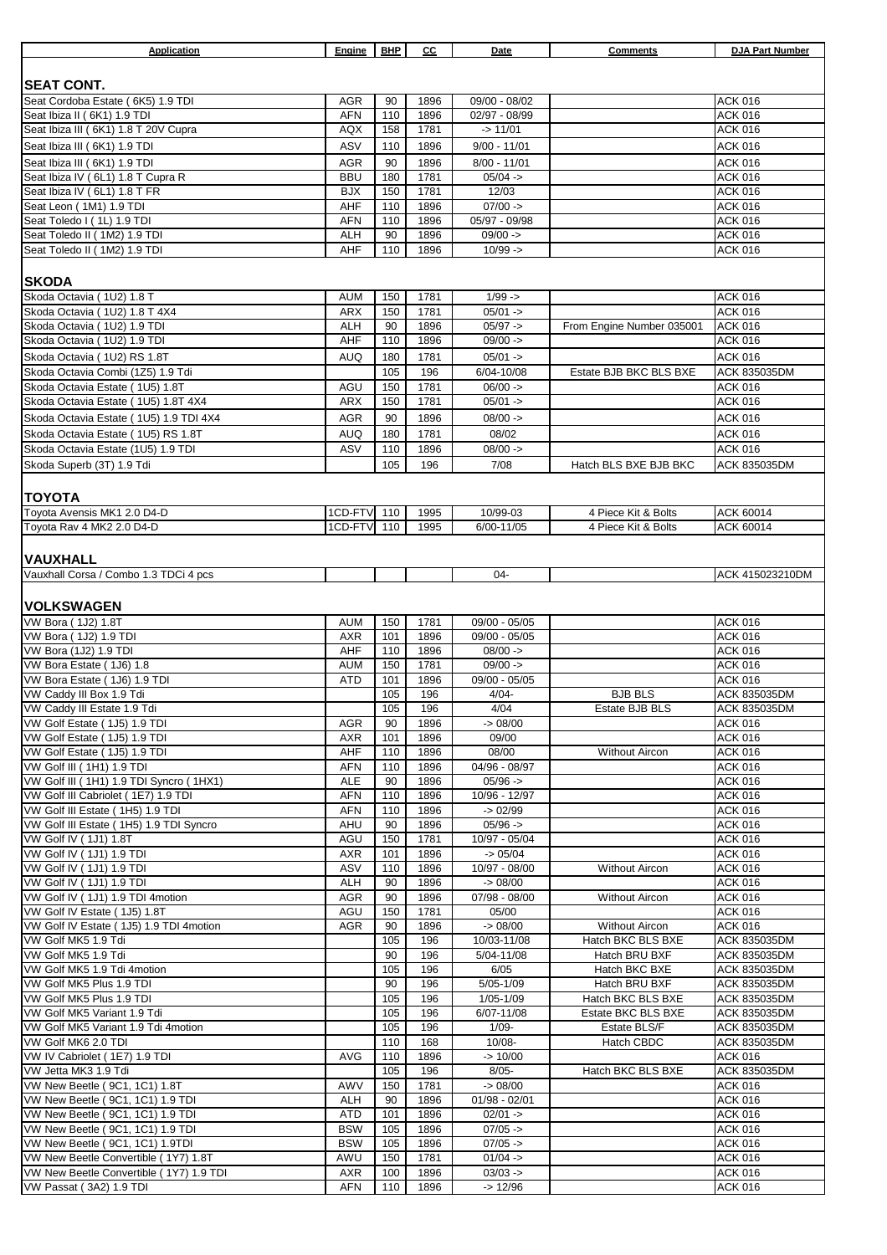| Application                                                          | Engine            | <b>BHP</b> | СC           | Date                         | <b>Comments</b>                | <b>DJA Part Number</b>           |
|----------------------------------------------------------------------|-------------------|------------|--------------|------------------------------|--------------------------------|----------------------------------|
|                                                                      |                   |            |              |                              |                                |                                  |
| <b>SEAT CONT.</b>                                                    |                   |            |              |                              |                                |                                  |
| Seat Cordoba Estate (6K5) 1.9 TDI                                    | <b>AGR</b>        | 90         | 1896         | 09/00 - 08/02                |                                | <b>ACK 016</b>                   |
| Seat Ibiza II (6K1) 1.9 TDI                                          | <b>AFN</b>        | 110        | 1896         | 02/97 - 08/99                |                                | <b>ACK 016</b>                   |
| Seat Ibiza III (6K1) 1.8 T 20V Cupra                                 | AQX               | 158        | 1781         | $-$ > 11/01                  |                                | <b>ACK 016</b>                   |
| Seat Ibiza III (6K1) 1.9 TDI                                         | ASV               | 110        | 1896         | $9/00 - 11/01$               |                                | <b>ACK 016</b>                   |
| Seat Ibiza III (6K1) 1.9 TDI                                         | <b>AGR</b>        | 90         | 1896         | $8/00 - 11/01$               |                                | <b>ACK 016</b>                   |
| Seat Ibiza IV (6L1) 1.8 T Cupra R                                    | <b>BBU</b>        | 180        | 1781         | $05/04 -$                    |                                | <b>ACK 016</b>                   |
| Seat Ibiza IV (6L1) 1.8 T FR                                         | <b>BJX</b>        | 150        | 1781         | 12/03                        |                                | <b>ACK 016</b>                   |
| Seat Leon (1M1) 1.9 TDI<br>Seat Toledo I (1L) 1.9 TDI                | AHF<br><b>AFN</b> | 110<br>110 | 1896<br>1896 | $07/00 -$<br>05/97 - 09/98   |                                | <b>ACK 016</b><br><b>ACK 016</b> |
| Seat Toledo II (1M2) 1.9 TDI                                         | <b>ALH</b>        | 90         | 1896         | $09/00 -$                    |                                | <b>ACK 016</b>                   |
| Seat Toledo II (1M2) 1.9 TDI                                         | AHF               | 110        | 1896         | $10/99 - >$                  |                                | <b>ACK 016</b>                   |
| <b>SKODA</b>                                                         |                   |            |              |                              |                                |                                  |
| Skoda Octavia (1U2) 1.8 T                                            | <b>AUM</b>        | 150        | 1781         | $1/99 - 5$                   |                                | <b>ACK 016</b>                   |
| Skoda Octavia (1U2) 1.8 T 4X4                                        | ARX               | 150        | 1781         | $05/01 -$                    |                                | <b>ACK 016</b>                   |
| Skoda Octavia (1U2) 1.9 TDI                                          | <b>ALH</b>        | 90         | 1896         | $05/97 -$                    | From Engine Number 035001      | <b>ACK 016</b>                   |
| Skoda Octavia (1U2) 1.9 TDI                                          | AHF               | 110        | 1896         | $09/00 -$                    |                                | <b>ACK 016</b>                   |
| Skoda Octavia (1U2) RS 1.8T                                          | <b>AUQ</b>        | 180        | 1781         | $05/01 -$                    |                                | <b>ACK 016</b>                   |
| Skoda Octavia Combi (1Z5) 1.9 Tdi                                    |                   | 105        | 196          | 6/04-10/08                   | Estate BJB BKC BLS BXE         | ACK 835035DM                     |
| Skoda Octavia Estate (1U5) 1.8T                                      | AGU               | 150        | 1781         | $06/00 -$                    |                                | <b>ACK 016</b>                   |
| Skoda Octavia Estate (1U5) 1.8T 4X4                                  | ARX               | 150        | 1781         | $05/01 -$                    |                                | <b>ACK 016</b>                   |
| Skoda Octavia Estate (1U5) 1.9 TDI 4X4                               | <b>AGR</b>        | 90         | 1896         | $08/00 -$                    |                                | <b>ACK 016</b>                   |
| Skoda Octavia Estate (1U5) RS 1.8T                                   | <b>AUQ</b>        | 180        | 1781         | 08/02                        |                                | <b>ACK 016</b>                   |
| Skoda Octavia Estate (1U5) 1.9 TDI                                   | ASV               | 110        | 1896         | $08/00 -$                    |                                | <b>ACK 016</b>                   |
| Skoda Superb (3T) 1.9 Tdi                                            |                   | 105        | 196          | 7/08                         | Hatch BLS BXE BJB BKC          | ACK 835035DM                     |
| <b>TOYOTA</b>                                                        |                   |            |              |                              |                                |                                  |
| Toyota Avensis MK1 2.0 D4-D                                          | 1CD-FTV 110       |            | 1995         | 10/99-03                     | 4 Piece Kit & Bolts            | ACK 60014                        |
| Toyota Rav 4 MK2 2.0 D4-D                                            | 1CD-FTV           | 110        | 1995         | 6/00-11/05                   | 4 Piece Kit & Bolts            | ACK 60014                        |
|                                                                      |                   |            |              |                              |                                |                                  |
| <b>VAUXHALL</b>                                                      |                   |            |              | $04 -$                       |                                | ACK 415023210DM                  |
| Vauxhall Corsa / Combo 1.3 TDCi 4 pcs                                |                   |            |              |                              |                                |                                  |
| <b>VOLKSWAGEN</b>                                                    |                   |            |              |                              |                                |                                  |
| VW Bora (1J2) 1.8T                                                   | <b>AUM</b>        | 150        | 1781         | 09/00 - 05/05                |                                | <b>ACK 016</b>                   |
| VW Bora (1J2) 1.9 TDI                                                | <b>AXR</b>        | 101        | 1896         | 09/00 - 05/05                |                                | <b>ACK 016</b>                   |
| VW Bora (1J2) 1.9 TDI                                                | AHF               | 110        | 1896         | $08/00 -$                    |                                | <b>ACK 016</b>                   |
| VW Bora Estate (1J6) 1.8                                             | <b>AUM</b>        | 150        | 1781         | $09/00 -$                    |                                | <b>ACK 016</b>                   |
| VW Bora Estate (1J6) 1.9 TDI                                         | <b>ATD</b>        | 101        | 1896         | 09/00 - 05/05                |                                | <b>ACK 016</b>                   |
| VW Caddy III Box 1.9 Tdi                                             |                   | 105        | 196          | $4/04 -$                     | <b>BJB BLS</b>                 | ACK 835035DM                     |
| VW Caddy III Estate 1.9 Tdi<br>VW Golf Estate (1J5) 1.9 TDI          | <b>AGR</b>        | 105<br>90  | 196<br>1896  | 4/04<br>$-$ 08/00            | Estate BJB BLS                 | ACK 835035DM<br><b>ACK 016</b>   |
| VW Golf Estate (1J5) 1.9 TDI                                         | AXR               | 101        | 1896         | 09/00                        |                                | <b>ACK 016</b>                   |
| VW Golf Estate (1J5) 1.9 TDI                                         | AHF               | 110        | 1896         | 08/00                        | <b>Without Aircon</b>          | ACK 016                          |
| VW Golf III (1H1) 1.9 TDI                                            | <b>AFN</b>        | 110        | 1896         | 04/96 - 08/97                |                                | <b>ACK 016</b>                   |
| VW Golf III (1H1) 1.9 TDI Syncro (1HX1)                              | <b>ALE</b>        | 90         | 1896         | $05/96 -$                    |                                | <b>ACK 016</b>                   |
| VW Golf III Cabriolet (1E7) 1.9 TDI                                  | <b>AFN</b>        | 110        | 1896         | 10/96 - 12/97                |                                | <b>ACK 016</b>                   |
| VW Golf III Estate (1H5) 1.9 TDI                                     | <b>AFN</b>        | 110        | 1896         | $-$ 02/99                    |                                | ACK 016                          |
| VW Golf III Estate (1H5) 1.9 TDI Syncro                              | AHU               | 90         | 1896         | $05/96 -$                    |                                | <b>ACK 016</b>                   |
| VW Golf IV (1J1) 1.8T                                                | AGU<br><b>AXR</b> | 150<br>101 | 1781<br>1896 | 10/97 - 05/04<br>$-$ 05/04   |                                | <b>ACK 016</b><br><b>ACK 016</b> |
| VW Golf IV (1J1) 1.9 TDI<br>VW Golf IV (1J1) 1.9 TDI                 | ASV               | 110        | 1896         | 10/97 - 08/00                | <b>Without Aircon</b>          | ACK 016                          |
| VW Golf IV (1J1) 1.9 TDI                                             | ALH               | 90         | 1896         | $-$ 08/00                    |                                | <b>ACK 016</b>                   |
| VW Golf IV (1J1) 1.9 TDI 4motion                                     | <b>AGR</b>        | 90         | 1896         | 07/98 - 08/00                | <b>Without Aircon</b>          | <b>ACK 016</b>                   |
| VW Golf IV Estate (1J5) 1.8T                                         | AGU               | 150        | 1781         | 05/00                        |                                | <b>ACK 016</b>                   |
| VW Golf IV Estate (1J5) 1.9 TDI 4motion                              | AGR               | 90         | 1896         | $-$ 08/00                    | <b>Without Aircon</b>          | <b>ACK 016</b>                   |
| VW Golf MK5 1.9 Tdi                                                  |                   | 105        | 196          | 10/03-11/08                  | Hatch BKC BLS BXE              | ACK 835035DM                     |
| VW Golf MK5 1.9 Tdi                                                  |                   | 90         | 196          | 5/04-11/08                   | Hatch BRU BXF                  | ACK 835035DM                     |
| VW Golf MK5 1.9 Tdi 4motion<br>VW Golf MK5 Plus 1.9 TDI              |                   | 105<br>90  | 196<br>196   | 6/05<br>5/05-1/09            | Hatch BKC BXE<br>Hatch BRU BXF | ACK 835035DM<br>ACK 835035DM     |
| VW Golf MK5 Plus 1.9 TDI                                             |                   | 105        | 196          | 1/05-1/09                    | Hatch BKC BLS BXE              | ACK 835035DM                     |
| VW Golf MK5 Variant 1.9 Tdi                                          |                   | 105        | 196          | 6/07-11/08                   | Estate BKC BLS BXE             | ACK 835035DM                     |
| VW Golf MK5 Variant 1.9 Tdi 4motion                                  |                   | 105        | 196          | $1/09 -$                     | Estate BLS/F                   | ACK 835035DM                     |
| VW Golf MK6 2.0 TDI                                                  |                   | 110        | 168          | $10/08 -$                    | Hatch CBDC                     | ACK 835035DM                     |
| VW IV Cabriolet (1E7) 1.9 TDI                                        | <b>AVG</b>        | 110        | 1896         | $->10/00$                    |                                | ACK 016                          |
| VW Jetta MK3 1.9 Tdi                                                 |                   | 105        | 196          | $8/05 -$                     | Hatch BKC BLS BXE              | ACK 835035DM                     |
| VW New Beetle (9C1, 1C1) 1.8T                                        | AWV               | 150        | 1781         | $-$ 08/00                    |                                | <b>ACK 016</b>                   |
| VW New Beetle (9C1, 1C1) 1.9 TDI<br>VW New Beetle (9C1, 1C1) 1.9 TDI | ALH<br>ATD        | 90<br>101  | 1896<br>1896 | $01/98 - 02/01$<br>$02/01 -$ |                                | ACK 016<br><b>ACK 016</b>        |
| VW New Beetle (9C1, 1C1) 1.9 TDI                                     | <b>BSW</b>        | 105        | 1896         | $07/05 -$                    |                                | <b>ACK 016</b>                   |
| VW New Beetle (9C1, 1C1) 1.9TDI                                      | <b>BSW</b>        | 105        | 1896         | $07/05 -$                    |                                | <b>ACK 016</b>                   |
| VW New Beetle Convertible (1Y7) 1.8T                                 | AWU               | 150        | 1781         | $01/04 -$                    |                                | <b>ACK 016</b>                   |
| VW New Beetle Convertible (1Y7) 1.9 TDI                              | AXR               | 100        | 1896         | $03/03 -$                    |                                | ACK 016                          |
| VW Passat (3A2) 1.9 TDI                                              | <b>AFN</b>        | 110        | 1896         | $-$ 12/96                    |                                | <b>ACK 016</b>                   |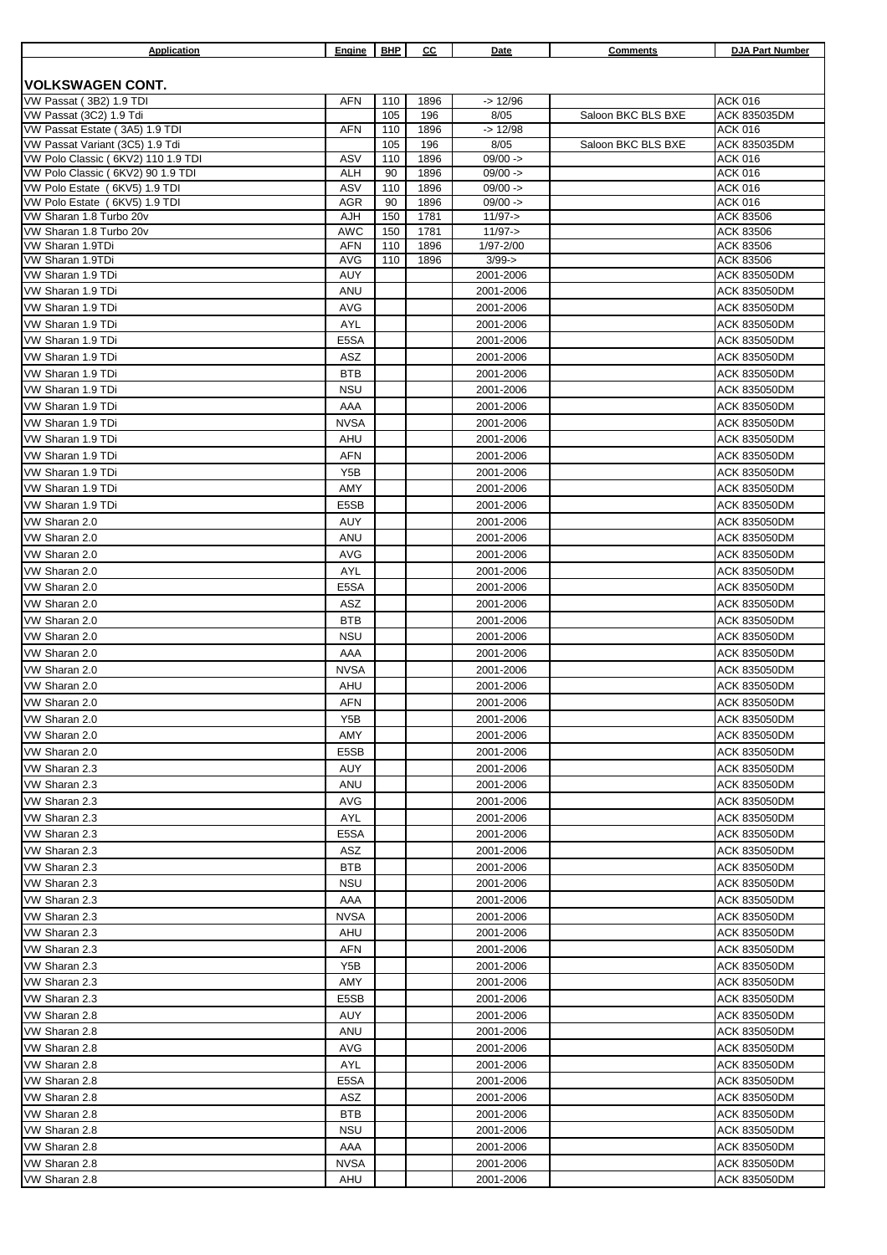| Application                                                       | Engine                   | <b>BHP</b> | cс           | Date                     | <b>Comments</b>    | DJA Part Number                     |
|-------------------------------------------------------------------|--------------------------|------------|--------------|--------------------------|--------------------|-------------------------------------|
|                                                                   |                          |            |              |                          |                    |                                     |
| <b>VOLKSWAGEN CONT.</b>                                           |                          |            |              |                          |                    |                                     |
| VW Passat (3B2) 1.9 TDI                                           | <b>AFN</b>               | 110        | 1896         | $-$ 12/96                |                    | <b>ACK 016</b>                      |
| VW Passat (3C2) 1.9 Tdi                                           |                          | 105        | 196          | 8/05                     | Saloon BKC BLS BXE | <b>ACK 835035DM</b>                 |
| VW Passat Estate (3A5) 1.9 TDI<br>VW Passat Variant (3C5) 1.9 Tdi | <b>AFN</b>               | 110<br>105 | 1896<br>196  | $-$ 12/98<br>8/05        | Saloon BKC BLS BXE | <b>ACK 016</b><br>ACK 835035DM      |
| VW Polo Classic (6KV2) 110 1.9 TDI                                | ASV                      | 110        | 1896         | $09/00 -$                |                    | <b>ACK 016</b>                      |
| VW Polo Classic (6KV2) 90 1.9 TDI                                 | <b>ALH</b>               | 90         | 1896         | $09/00 -$                |                    | <b>ACK 016</b>                      |
| VW Polo Estate (6KV5) 1.9 TDI                                     | ASV                      | 110        | 1896         | $09/00 -$                |                    | <b>ACK 016</b>                      |
| VW Polo Estate (6KV5) 1.9 TDI                                     | <b>AGR</b>               | 90         | 1896         | $09/00 -$                |                    | <b>ACK 016</b>                      |
| VW Sharan 1.8 Turbo 20v                                           | AJH                      | 150        | 1781         | $11/97 - >$              |                    | <b>ACK 83506</b>                    |
| VW Sharan 1.8 Turbo 20v<br>VW Sharan 1.9TDi                       | <b>AWC</b><br><b>AFN</b> | 150<br>110 | 1781<br>1896 | $11/97 - >$<br>1/97-2/00 |                    | ACK 83506                           |
| VW Sharan 1.9TDi                                                  | <b>AVG</b>               | 110        | 1896         | $3/99 - >$               |                    | ACK 83506<br>ACK 83506              |
| VW Sharan 1.9 TDi                                                 | AUY                      |            |              | 2001-2006                |                    | ACK 835050DM                        |
| VW Sharan 1.9 TDi                                                 | ANU                      |            |              | 2001-2006                |                    | <b>ACK 835050DM</b>                 |
| VW Sharan 1.9 TDi                                                 | <b>AVG</b>               |            |              | 2001-2006                |                    | <b>ACK 835050DM</b>                 |
| VW Sharan 1.9 TDi                                                 | AYL                      |            |              | 2001-2006                |                    | <b>ACK 835050DM</b>                 |
| VW Sharan 1.9 TDi                                                 | E5SA                     |            |              | 2001-2006                |                    | <b>ACK 835050DM</b>                 |
| VW Sharan 1.9 TDi                                                 | ASZ                      |            |              | 2001-2006                |                    | <b>ACK 835050DM</b>                 |
| VW Sharan 1.9 TDi                                                 | <b>BTB</b>               |            |              | 2001-2006                |                    | ACK 835050DM                        |
| VW Sharan 1.9 TDi                                                 | <b>NSU</b>               |            |              | 2001-2006                |                    | <b>ACK 835050DM</b>                 |
| VW Sharan 1.9 TDi                                                 | AAA                      |            |              | 2001-2006                |                    | ACK 835050DM                        |
| VW Sharan 1.9 TDi                                                 | <b>NVSA</b>              |            |              | 2001-2006                |                    | <b>ACK 835050DM</b>                 |
| VW Sharan 1.9 TDi                                                 | AHU                      |            |              | 2001-2006                |                    | <b>ACK 835050DM</b>                 |
| VW Sharan 1.9 TDi                                                 | <b>AFN</b>               |            |              | 2001-2006                |                    | <b>ACK 835050DM</b>                 |
| VW Sharan 1.9 TDi                                                 | Y5B                      |            |              | 2001-2006                |                    | <b>ACK 835050DM</b>                 |
| VW Sharan 1.9 TDi                                                 | AMY                      |            |              | 2001-2006                |                    | <b>ACK 835050DM</b>                 |
| VW Sharan 1.9 TDi                                                 | E5SB                     |            |              | 2001-2006                |                    | ACK 835050DM                        |
| VW Sharan 2.0                                                     | AUY                      |            |              | 2001-2006                |                    | <b>ACK 835050DM</b>                 |
| VW Sharan 2.0                                                     | ANU                      |            |              | 2001-2006                |                    | <b>ACK 835050DM</b>                 |
| VW Sharan 2.0                                                     | <b>AVG</b>               |            |              | 2001-2006                |                    | ACK 835050DM                        |
| VW Sharan 2.0                                                     | AYL                      |            |              | 2001-2006                |                    | <b>ACK 835050DM</b>                 |
| VW Sharan 2.0                                                     | E5SA                     |            |              | 2001-2006                |                    | <b>ACK 835050DM</b>                 |
| VW Sharan 2.0                                                     | ASZ                      |            |              | 2001-2006                |                    | <b>ACK 835050DM</b>                 |
| VW Sharan 2.0                                                     | <b>BTB</b>               |            |              | 2001-2006                |                    | <b>ACK 835050DM</b>                 |
| VW Sharan 2.0                                                     | <b>NSU</b>               |            |              | 2001-2006                |                    | ACK 835050DM                        |
| VW Sharan 2.0                                                     | AAA                      |            |              | 2001-2006                |                    | <b>ACK 835050DM</b>                 |
| VW Sharan 2.0                                                     | <b>NVSA</b>              |            |              | 2001-2006                |                    | <b>ACK 835050DM</b>                 |
| VW Sharan 2.0                                                     | AHU                      |            |              | 2001-2006                |                    | ACK 835050DM                        |
| VW Sharan 2.0<br>VW Sharan 2.0                                    | AFN<br>Y5B               |            |              | 2001-2006                |                    | <b>ACK 835050DM</b>                 |
| VW Sharan 2.0                                                     | AMY                      |            |              | 2001-2006<br>2001-2006   |                    | ACK 835050DM<br><b>ACK 835050DM</b> |
| VW Sharan 2.0                                                     | E5SB                     |            |              | 2001-2006                |                    | <b>ACK 835050DM</b>                 |
| VW Sharan 2.3                                                     | AUY                      |            |              | 2001-2006                |                    | ACK 835050DM                        |
| VW Sharan 2.3                                                     | ANU                      |            |              | 2001-2006                |                    | ACK 835050DM                        |
| VW Sharan 2.3                                                     | AVG                      |            |              | 2001-2006                |                    | ACK 835050DM                        |
| VW Sharan 2.3                                                     | AYL                      |            |              | 2001-2006                |                    | ACK 835050DM                        |
| VW Sharan 2.3                                                     | E5SA                     |            |              | 2001-2006                |                    | ACK 835050DM                        |
| VW Sharan 2.3                                                     | ASZ                      |            |              | 2001-2006                |                    | ACK 835050DM                        |
| VW Sharan 2.3                                                     | BTB                      |            |              | 2001-2006                |                    | ACK 835050DM                        |
| VW Sharan 2.3                                                     | NSU                      |            |              | 2001-2006                |                    | ACK 835050DM                        |
| VW Sharan 2.3                                                     | AAA                      |            |              | 2001-2006                |                    | ACK 835050DM                        |
| VW Sharan 2.3                                                     | <b>NVSA</b>              |            |              | 2001-2006                |                    | ACK 835050DM                        |
| VW Sharan 2.3                                                     | AHU                      |            |              | 2001-2006                |                    | ACK 835050DM                        |
| VW Sharan 2.3                                                     | AFN                      |            |              | 2001-2006                |                    | ACK 835050DM                        |
| VW Sharan 2.3                                                     | Y5B                      |            |              | 2001-2006                |                    | ACK 835050DM                        |
| VW Sharan 2.3                                                     | AMY                      |            |              | 2001-2006                |                    | ACK 835050DM                        |
| VW Sharan 2.3                                                     | E5SB                     |            |              | 2001-2006                |                    | ACK 835050DM                        |
| VW Sharan 2.8                                                     | AUY                      |            |              | 2001-2006                |                    | ACK 835050DM                        |
| VW Sharan 2.8                                                     | ANU                      |            |              | 2001-2006                |                    | ACK 835050DM                        |
| VW Sharan 2.8                                                     | AVG                      |            |              | 2001-2006                |                    | ACK 835050DM                        |
| VW Sharan 2.8                                                     | AYL                      |            |              | 2001-2006                |                    | ACK 835050DM                        |
| VW Sharan 2.8                                                     | E5SA                     |            |              | 2001-2006                |                    | ACK 835050DM                        |
| VW Sharan 2.8                                                     | ASZ                      |            |              | 2001-2006                |                    | ACK 835050DM                        |
| VW Sharan 2.8                                                     | BTB                      |            |              | 2001-2006                |                    | ACK 835050DM                        |
| VW Sharan 2.8                                                     | NSU                      |            |              | 2001-2006                |                    | ACK 835050DM                        |
| VW Sharan 2.8                                                     | AAA                      |            |              | 2001-2006                |                    | ACK 835050DM                        |
| VW Sharan 2.8                                                     | <b>NVSA</b>              |            |              | 2001-2006                |                    | ACK 835050DM                        |
| VW Sharan 2.8                                                     | AHU                      |            |              | 2001-2006                |                    | ACK 835050DM                        |